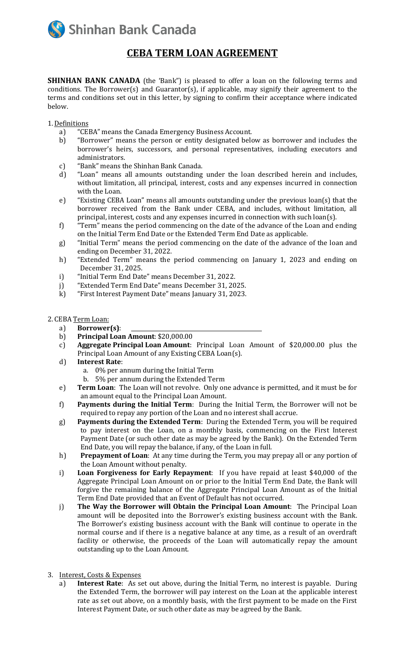**Shinhan Bank Canada** 

## **CEBA TERM LOAN AGREEMENT**

**SHINHAN BANK CANADA** (the 'Bank") is pleased to offer a loan on the following terms and conditions. The Borrower(s) and Guarantor(s), if applicable, may signify their agreement to the terms and conditions set out in this letter, by signing to confirm their acceptance where indicated below.

1.Definitions

- a) "CEBA" means the Canada Emergency Business Account.
- b) "Borrower" means the person or entity designated below as borrower and includes the borrower's heirs, successors, and personal representatives, including executors and administrators.
- c) "Bank" means the Shinhan Bank Canada.
- d) "Loan" means all amounts outstanding under the loan described herein and includes, without limitation, all principal, interest, costs and any expenses incurred in connection with the Loan.
- e) "Existing CEBA Loan" means all amounts outstanding under the previous loan(s) that the borrower received from the Bank under CEBA, and includes, without limitation, all principal, interest, costs and any expenses incurred in connection with such loan(s).
- f) "Term" means the period commencing on the date of the advance of the Loan and ending on the Initial Term End Date or the Extended Term End Date as applicable.
- g) "Initial Term" means the period commencing on the date of the advance of the loan and ending on December 31, 2022.
- h) "Extended Term" means the period commencing on January 1, 2023 and ending on December 31, 2025.
- i) "Initial Term End Date" means December 31, 2022.
- j) "Extended Term End Date" means December 31, 2025.
- k) "First Interest Payment Date" means January 31, 2023.

## 2. CEBA Term Loan:

- a) **Borrower(s)**:
- b) **Principal Loan Amount**: \$20,000.00
- c) **Aggregate Principal Loan Amount**: Principal Loan Amount of \$20,000.00 plus the Principal Loan Amount of any Existing CEBA Loan(s).
- d) **Interest Rate**:
	- a. 0% per annum during the Initial Term
	- b. 5% per annum during the Extended Term
- e) **Term Loan**: The Loan will not revolve. Only one advance is permitted, and it must be for an amount equal to the Principal Loan Amount.
- f) **Payments during the Initial Term**: During the Initial Term, the Borrower will not be required to repay any portion of the Loan and no interest shall accrue.
- g) **Payments during the Extended Term**: During the Extended Term, you will be required to pay interest on the Loan, on a monthly basis, commencing on the First Interest Payment Date (or such other date as may be agreed by the Bank). On the Extended Term End Date, you will repay the balance, if any, of the Loan in full.
- h) **Prepayment of Loan**: At any time during the Term, you may prepay all or any portion of the Loan Amount without penalty.
- i) **Loan Forgiveness for Early Repayment**: If you have repaid at least \$40,000 of the Aggregate Principal Loan Amount on or prior to the Initial Term End Date, the Bank will forgive the remaining balance of the Aggregate Principal Loan Amount as of the Initial Term End Date provided that an Event of Default has not occurred.
- j) **The Way the Borrower will Obtain the Principal Loan Amount**: The Principal Loan amount will be deposited into the Borrower's existing business account with the Bank. The Borrower's existing business account with the Bank will continue to operate in the normal course and if there is a negative balance at any time, as a result of an overdraft facility or otherwise, the proceeds of the Loan will automatically repay the amount outstanding up to the Loan Amount.
- 3. Interest, Costs & Expenses
	- a) **Interest Rate**: As set out above, during the Initial Term, no interest is payable. During the Extended Term, the borrower will pay interest on the Loan at the applicable interest rate as set out above, on a monthly basis, with the first payment to be made on the First Interest Payment Date, or such other date as may be agreed by the Bank.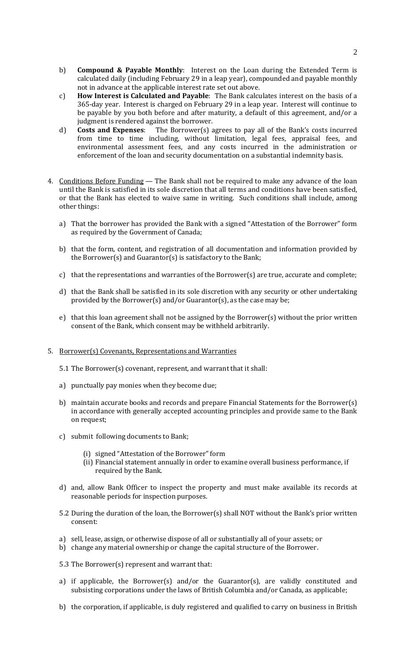- b) **Compound & Payable Monthly**: Interest on the Loan during the Extended Term is calculated daily (including February 29 in a leap year), compounded and payable monthly not in advance at the applicable interest rate set out above.
- c) **How Interest is Calculated and Payable**: The Bank calculates interest on the basis of a 365-day year. Interest is charged on February 29 in a leap year. Interest will continue to be payable by you both before and after maturity, a default of this agreement, and/or a judgment is rendered against the borrower.
- d) **Costs and Expenses**: The Borrower(s) agrees to pay all of the Bank's costs incurred from time to time including, without limitation, legal fees, appraisal fees, and environmental assessment fees, and any costs incurred in the administration or enforcement of the loan and security documentation on a substantial indemnity basis.
- 4. Conditions Before Funding The Bank shall not be required to make any advance of the loan until the Bank is satisfied in its sole discretion that all terms and conditions have been satisfied, or that the Bank has elected to waive same in writing. Such conditions shall include, among other things:
	- a) That the borrower has provided the Bank with a signed "Attestation of the Borrower" form as required by the Government of Canada;
	- b) that the form, content, and registration of all documentation and information provided by the Borrower(s) and Guarantor(s) is satisfactory to the Bank;
	- c) that the representations and warranties of the Borrower(s) are true, accurate and complete;
	- d) that the Bank shall be satisfied in its sole discretion with any security or other undertaking provided by the Borrower(s) and/or Guarantor(s), as the case may be;
	- e) that this loan agreement shall not be assigned by the Borrower(s) without the prior written consent of the Bank, which consent may be withheld arbitrarily.
- 5. Borrower(s) Covenants, Representations and Warranties
	- 5.1 The Borrower(s) covenant, represent, and warrant that it shall:
	- a) punctually pay monies when they become due;
	- b) maintain accurate books and records and prepare Financial Statements for the Borrower(s) in accordance with generally accepted accounting principles and provide same to the Bank on request;
	- c) submit following documents to Bank;
		- (i) signed "Attestation of the Borrower" form
		- (ii) Financial statement annually in order to examine overall business performance, if required by the Bank.
	- d) and, allow Bank Officer to inspect the property and must make available its records at reasonable periods for inspection purposes.
	- 5.2 During the duration of the loan, the Borrower(s) shall NOT without the Bank's prior written consent:
	- a) sell, lease, assign, or otherwise dispose of all or substantially all of your assets; or
	- b) change any material ownership or change the capital structure of the Borrower.
	- 5.3 The Borrower(s) represent and warrant that:
	- a) if applicable, the Borrower(s) and/or the Guarantor(s), are validly constituted and subsisting corporations under the laws of British Columbia and/or Canada, as applicable;
	- b) the corporation, if applicable, is duly registered and qualified to carry on business in British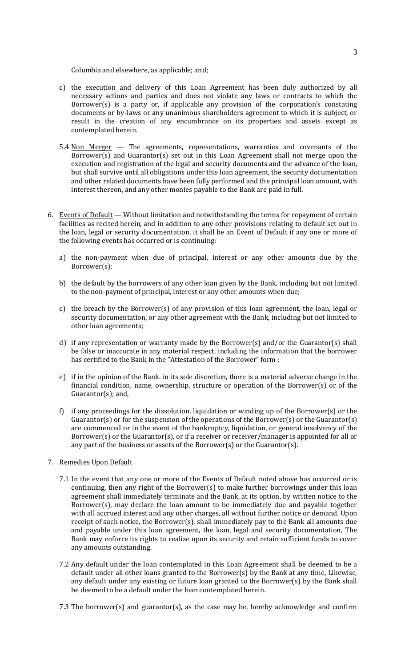Columbia and elsewhere, as applicable; and;

- c) the execution and delivery of this Loan Agreement has been duly authorized by all necessary actions and parties and does not violate any laws or contracts to which the Borrower(s) is a party or, if applicable any provision of the corporation's constating documents or by-laws or any unanimous shareholders agreement to which it is subject, or result in the creation of any encumbrance on its properties and assets except as contemplated herein.
- 5.4 Non Merger  $-$  The agreements, representations, warranties and covenants of the Borrower(s) and Guarantor(s) set out in this Loan Agreement shall not merge upon the execution and registration of the legal and security documents and the advance of the loan, but shall survive until all obligations under this loan agreement, the security documentation and other related documents have been fully performed and the principal loan amount, with interest thereon, and any other monies payable to the Bank are paid in full.
- 6. Events of Default Without limitation and notwithstanding the terms for repayment of certain facilities as recited herein, and in addition to any other provisions relating to default set out in the loan, legal or security documentation, it shall be an Event of Default if any one or more of the following events has occurred or is continuing:
	- a) the non-payment when due of principal, interest or any other amounts due by the Borrower(s);
	- b) the default by the borrowers of any other loan given by the Bank, including but not limited to the non-payment of principal, interest or any other amounts when due;
	- c) the breach by the Borrower(s) of any provision of this loan agreement, the loan, legal or security documentation, or any other agreement with the Bank, including but not limited to other loan agreements;
	- d) if any representation or warranty made by the Borrower(s) and/or the Guarantor(s) shall be false or inaccurate in any material respect, including the information that the borrower has certified to the Bank in the "Attestation of the Borrower" form;
	- e) if in the opinion of the Bank. in its sole discretion, there is a material adverse change in the financial condition, name, ownership, structure or operation of the Borrower(s) or of the Guarantor(s); and,
	- f) if any proceedings for the dissolution, liquidation or winding up of the Borrower(s) or the Guarantor(s) or for the suspension of the operations of the Borrower(s) or the Guarantor(s) are commenced or in the event of the bankruptcy, liquidation, or general insolvency of the Borrower(s) or the Guarantor(s), or if a receiver or receiver/manager is appointed for all or any part of the business or assets of the Borrower(s) or the Guarantor(s).
- 7. Remedies Upon Default
	- 7.1 In the event that any one or more of the Events of Default noted above has occurred or is continuing, then any right of the Borrower(s) to make further borrowings under this loan agreement shall immediately terminate and the Bank, at its option, by written notice to the Borrower(s), may declare the loan amount to be immediately due and payable together with all accrued interest and any other charges, all without further notice or demand. Upon receipt of such notice, the Borrower(s), shall immediately pay to the Bank all amounts due and payable under this loan agreement, the loan, legal and security documentation, The Bank may enforce its rights to realize upon its security and retain sufficient funds to cover any amounts outstanding.
	- 7.2 Any default under the loan contemplated in this Loan Agreement shall be deemed to be a default under all other loans granted to the Borrower(s) by the Bank at any time, Likewise, any default under any existing or future loan granted to the Borrower(s) by the Bank shall be deemed to be a default under the loan contemplated herein.
	- 7.3 The borrower(s) and guarantor(s), as the case may be, hereby acknowledge and confirm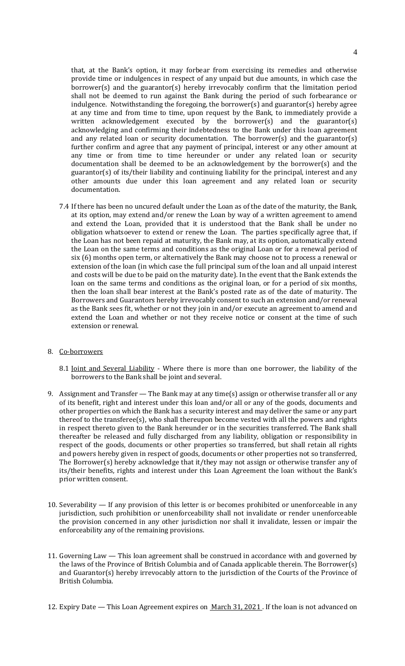that, at the Bank's option, it may forbear from exercising its remedies and otherwise provide time or indulgences in respect of any unpaid but due amounts, in which case the borrower(s) and the guarantor(s) hereby irrevocably confirm that the limitation period shall not be deemed to run against the Bank during the period of such forbearance or indulgence. Notwithstanding the foregoing, the borrower(s) and guarantor(s) hereby agree at any time and from time to time, upon request by the Bank, to immediately provide a written acknowledgement executed by the borrower(s) and the guarantor(s) acknowledging and confirming their indebtedness to the Bank under this loan agreement and any related loan or security documentation. The borrower(s) and the guarantor(s) further confirm and agree that any payment of principal, interest or any other amount at any time or from time to time hereunder or under any related loan or security documentation shall be deemed to be an acknowledgement by the borrower(s) and the guarantor(s) of its/their liability and continuing liability for the principal, interest and any other amounts due under this loan agreement and any related loan or security documentation.

- 7.4 If there has been no uncured default under the Loan as of the date of the maturity, the Bank, at its option, may extend and/or renew the Loan by way of a written agreement to amend and extend the Loan, provided that it is understood that the Bank shall be under no obligation whatsoever to extend or renew the Loan. The parties specifically agree that, if the Loan has not been repaid at maturity, the Bank may, at its option, automatically extend the Loan on the same terms and conditions as the original Loan or for a renewal period of six (6) months open term, or alternatively the Bank may choose not to process a renewal or extension of the loan (in which case the full principal sum of the loan and all unpaid interest and costs will be due to be paid on the maturity date). In the event that the Bank extends the loan on the same terms and conditions as the original loan, or for a period of six months, then the loan shall bear interest at the Bank's posted rate as of the date of maturity. The Borrowers and Guarantors hereby irrevocably consent to such an extension and/or renewal as the Bank sees fit, whether or not they join in and/or execute an agreement to amend and extend the Loan and whether or not they receive notice or consent at the time of such extension or renewal.
- 8. Co-borrowers
	- 8.1 Joint and Several Liability Where there is more than one borrower, the liability of the borrowers to the Bank shall be joint and several.
- 9. Assignment and Transfer The Bank may at any time(s) assign or otherwise transfer all or any of its benefit, right and interest under this loan and/or all or any of the goods, documents and other properties on which the Bank has a security interest and may deliver the same or any part thereof to the transferee(s), who shall thereupon become vested with all the powers and rights in respect thereto given to the Bank hereunder or in the securities transferred. The Bank shall thereafter be released and fully discharged from any liability, obligation or responsibility in respect of the goods, documents or other properties so transferred, but shall retain all rights and powers hereby given in respect of goods, documents or other properties not so transferred, The Borrower(s) hereby acknowledge that it/they may not assign or otherwise transfer any of its/their benefits, rights and interest under this Loan Agreement the loan without the Bank's prior written consent.
- 10. Severability If any provision of this letter is or becomes prohibited or unenforceable in any jurisdiction, such prohibition or unenforceability shall not invalidate or render unenforceable the provision concerned in any other jurisdiction nor shall it invalidate, lessen or impair the enforceability any of the remaining provisions.
- 11. Governing Law This loan agreement shall be construed in accordance with and governed by the laws of the Province of British Columbia and of Canada applicable therein. The Borrower(s) and Guarantor(s) hereby irrevocably attorn to the jurisdiction of the Courts of the Province of British Columbia.
- 12. Expiry Date This Loan Agreement expires on March 31, 2021. If the loan is not advanced on